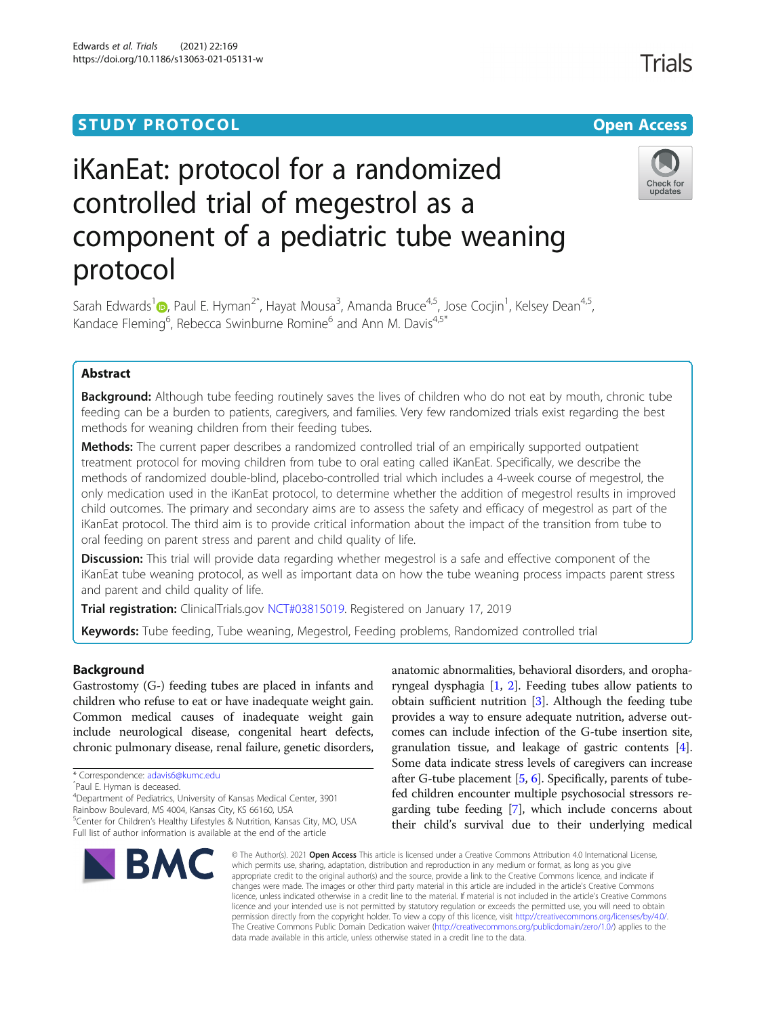# **STUDY PROTOCOL CONSUMING THE RESERVE ACCESS**

# Trials

Check for updates



# iKanEat: protocol for a randomized controlled trial of megestrol as a component of a pediatric tube weaning protocol

Sarah Edwards<sup>[1](http://orcid.org/0000-0001-5504-4738)</sup> (D, Paul E. Hyman<sup>2^</sup>, Hayat Mousa<sup>3</sup>, Amanda Bruce<sup>4,5</sup>, Jose Cocjin<sup>1</sup>, Kelsey Dean<sup>4,5</sup>, Kandace Fleming<sup>6</sup>, Rebecca Swinburne Romine<sup>6</sup> and Ann M. Davis<sup>4,5\*</sup>

# Abstract

**Background:** Although tube feeding routinely saves the lives of children who do not eat by mouth, chronic tube feeding can be a burden to patients, caregivers, and families. Very few randomized trials exist regarding the best methods for weaning children from their feeding tubes.

**Methods:** The current paper describes a randomized controlled trial of an empirically supported outpatient treatment protocol for moving children from tube to oral eating called iKanEat. Specifically, we describe the methods of randomized double-blind, placebo-controlled trial which includes a 4-week course of megestrol, the only medication used in the iKanEat protocol, to determine whether the addition of megestrol results in improved child outcomes. The primary and secondary aims are to assess the safety and efficacy of megestrol as part of the iKanEat protocol. The third aim is to provide critical information about the impact of the transition from tube to oral feeding on parent stress and parent and child quality of life.

**Discussion:** This trial will provide data regarding whether megestrol is a safe and effective component of the iKanEat tube weaning protocol, as well as important data on how the tube weaning process impacts parent stress and parent and child quality of life.

Trial registration: ClinicalTrials.gov [NCT#03815019.](https://clinicaltrials.gov/ct2/show/NCT03815019?term=ikaneat&draw=2&rank=1) Registered on January 17, 2019

Keywords: Tube feeding, Tube weaning, Megestrol, Feeding problems, Randomized controlled trial

# Background

Gastrostomy (G-) feeding tubes are placed in infants and children who refuse to eat or have inadequate weight gain. Common medical causes of inadequate weight gain include neurological disease, congenital heart defects, chronic pulmonary disease, renal failure, genetic disorders,

Rainbow Boulevard, MS 4004, Kansas City, KS 66160, USA <sup>5</sup>Center for Children's Healthy Lifestyles & Nutrition, Kansas City, MO, USA

Full list of author information is available at the end of the article



anatomic abnormalities, behavioral disorders, and oropharyngeal dysphagia [\[1,](#page-10-0) [2\]](#page-10-0). Feeding tubes allow patients to obtain sufficient nutrition [\[3](#page-10-0)]. Although the feeding tube provides a way to ensure adequate nutrition, adverse outcomes can include infection of the G-tube insertion site, granulation tissue, and leakage of gastric contents [[4](#page-10-0)]. Some data indicate stress levels of caregivers can increase after G-tube placement [[5](#page-10-0), [6\]](#page-10-0). Specifically, parents of tubefed children encounter multiple psychosocial stressors regarding tube feeding [\[7](#page-10-0)], which include concerns about their child's survival due to their underlying medical

© The Author(s), 2021 **Open Access** This article is licensed under a Creative Commons Attribution 4.0 International License, which permits use, sharing, adaptation, distribution and reproduction in any medium or format, as long as you give appropriate credit to the original author(s) and the source, provide a link to the Creative Commons licence, and indicate if changes were made. The images or other third party material in this article are included in the article's Creative Commons licence, unless indicated otherwise in a credit line to the material. If material is not included in the article's Creative Commons licence and your intended use is not permitted by statutory regulation or exceeds the permitted use, you will need to obtain permission directly from the copyright holder. To view a copy of this licence, visit [http://creativecommons.org/licenses/by/4.0/.](http://creativecommons.org/licenses/by/4.0/) The Creative Commons Public Domain Dedication waiver [\(http://creativecommons.org/publicdomain/zero/1.0/](http://creativecommons.org/publicdomain/zero/1.0/)) applies to the data made available in this article, unless otherwise stated in a credit line to the data.

<sup>\*</sup> Correspondence: [adavis6@kumc.edu](mailto:adavis6@kumc.edu)

ˆPaul E. Hyman is deceased.

<sup>4</sup> Department of Pediatrics, University of Kansas Medical Center, 3901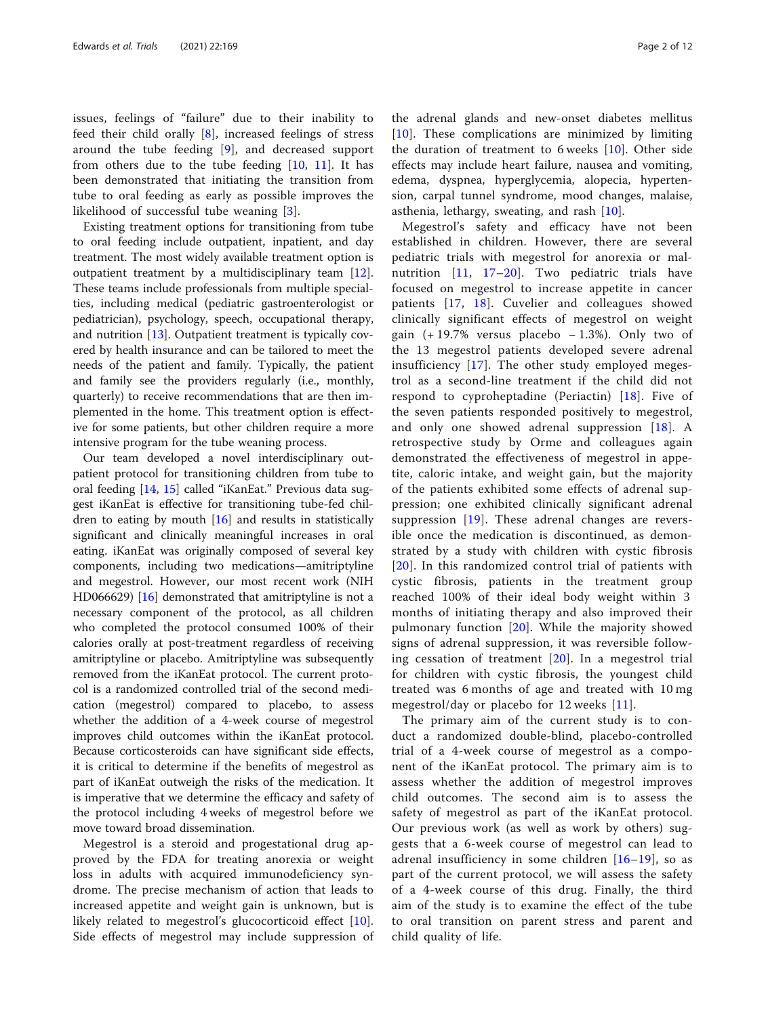issues, feelings of "failure" due to their inability to feed their child orally [\[8](#page-10-0)], increased feelings of stress around the tube feeding [[9\]](#page-10-0), and decreased support from others due to the tube feeding [\[10](#page-10-0), [11\]](#page-10-0). It has been demonstrated that initiating the transition from tube to oral feeding as early as possible improves the likelihood of successful tube weaning [\[3](#page-10-0)].

Existing treatment options for transitioning from tube to oral feeding include outpatient, inpatient, and day treatment. The most widely available treatment option is outpatient treatment by a multidisciplinary team [\[12](#page-10-0)]. These teams include professionals from multiple specialties, including medical (pediatric gastroenterologist or pediatrician), psychology, speech, occupational therapy, and nutrition [[13](#page-10-0)]. Outpatient treatment is typically covered by health insurance and can be tailored to meet the needs of the patient and family. Typically, the patient and family see the providers regularly (i.e., monthly, quarterly) to receive recommendations that are then implemented in the home. This treatment option is effective for some patients, but other children require a more intensive program for the tube weaning process.

Our team developed a novel interdisciplinary outpatient protocol for transitioning children from tube to oral feeding [[14,](#page-10-0) [15\]](#page-10-0) called "iKanEat." Previous data suggest iKanEat is effective for transitioning tube-fed children to eating by mouth  $[16]$  $[16]$  and results in statistically significant and clinically meaningful increases in oral eating. iKanEat was originally composed of several key components, including two medications—amitriptyline and megestrol. However, our most recent work (NIH HD066629) [\[16](#page-10-0)] demonstrated that amitriptyline is not a necessary component of the protocol, as all children who completed the protocol consumed 100% of their calories orally at post-treatment regardless of receiving amitriptyline or placebo. Amitriptyline was subsequently removed from the iKanEat protocol. The current protocol is a randomized controlled trial of the second medication (megestrol) compared to placebo, to assess whether the addition of a 4-week course of megestrol improves child outcomes within the iKanEat protocol. Because corticosteroids can have significant side effects, it is critical to determine if the benefits of megestrol as part of iKanEat outweigh the risks of the medication. It is imperative that we determine the efficacy and safety of the protocol including 4 weeks of megestrol before we move toward broad dissemination.

Megestrol is a steroid and progestational drug approved by the FDA for treating anorexia or weight loss in adults with acquired immunodeficiency syndrome. The precise mechanism of action that leads to increased appetite and weight gain is unknown, but is likely related to megestrol's glucocorticoid effect [\[10](#page-10-0)]. Side effects of megestrol may include suppression of

the adrenal glands and new-onset diabetes mellitus [[10\]](#page-10-0). These complications are minimized by limiting the duration of treatment to 6 weeks  $[10]$  $[10]$  $[10]$ . Other side effects may include heart failure, nausea and vomiting, edema, dyspnea, hyperglycemia, alopecia, hypertension, carpal tunnel syndrome, mood changes, malaise, asthenia, lethargy, sweating, and rash [[10\]](#page-10-0).

Megestrol's safety and efficacy have not been established in children. However, there are several pediatric trials with megestrol for anorexia or malnutrition [[11,](#page-10-0) [17](#page-10-0)–[20](#page-10-0)]. Two pediatric trials have focused on megestrol to increase appetite in cancer patients [[17,](#page-10-0) [18](#page-10-0)]. Cuvelier and colleagues showed clinically significant effects of megestrol on weight gain  $(+19.7\%$  versus placebo − 1.3%). Only two of the 13 megestrol patients developed severe adrenal insufficiency [[17](#page-10-0)]. The other study employed megestrol as a second-line treatment if the child did not respond to cyproheptadine (Periactin) [[18](#page-10-0)]. Five of the seven patients responded positively to megestrol, and only one showed adrenal suppression [\[18\]](#page-10-0). A retrospective study by Orme and colleagues again demonstrated the effectiveness of megestrol in appetite, caloric intake, and weight gain, but the majority of the patients exhibited some effects of adrenal suppression; one exhibited clinically significant adrenal suppression [[19\]](#page-10-0). These adrenal changes are reversible once the medication is discontinued, as demonstrated by a study with children with cystic fibrosis [[20](#page-10-0)]. In this randomized control trial of patients with cystic fibrosis, patients in the treatment group reached 100% of their ideal body weight within 3 months of initiating therapy and also improved their pulmonary function [[20\]](#page-10-0). While the majority showed signs of adrenal suppression, it was reversible following cessation of treatment [[20](#page-10-0)]. In a megestrol trial for children with cystic fibrosis, the youngest child treated was 6 months of age and treated with 10 mg megestrol/day or placebo for 12 weeks [[11](#page-10-0)].

The primary aim of the current study is to conduct a randomized double-blind, placebo-controlled trial of a 4-week course of megestrol as a component of the iKanEat protocol. The primary aim is to assess whether the addition of megestrol improves child outcomes. The second aim is to assess the safety of megestrol as part of the iKanEat protocol. Our previous work (as well as work by others) suggests that a 6-week course of megestrol can lead to adrenal insufficiency in some children  $[16–19]$  $[16–19]$  $[16–19]$  $[16–19]$ , so as part of the current protocol, we will assess the safety of a 4-week course of this drug. Finally, the third aim of the study is to examine the effect of the tube to oral transition on parent stress and parent and child quality of life.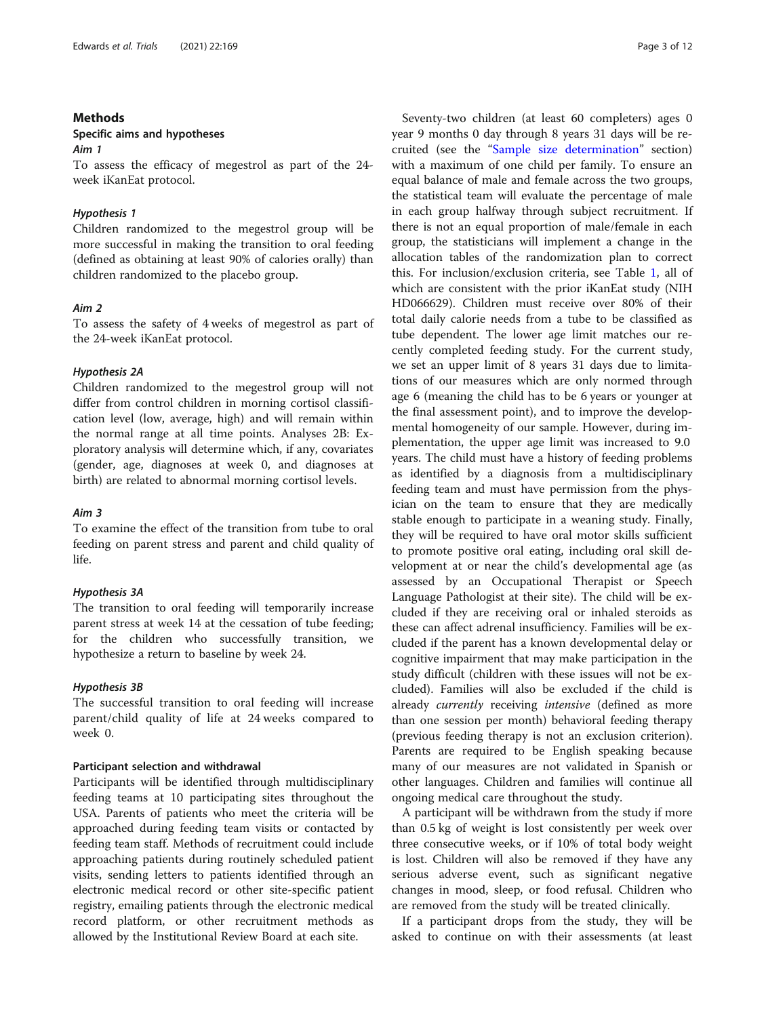# Methods

# Specific aims and hypotheses

Aim 1

To assess the efficacy of megestrol as part of the 24 week iKanEat protocol.

#### Hypothesis 1

Children randomized to the megestrol group will be more successful in making the transition to oral feeding (defined as obtaining at least 90% of calories orally) than children randomized to the placebo group.

# Aim 2

To assess the safety of 4 weeks of megestrol as part of the 24-week iKanEat protocol.

### Hypothesis 2A

Children randomized to the megestrol group will not differ from control children in morning cortisol classification level (low, average, high) and will remain within the normal range at all time points. Analyses 2B: Exploratory analysis will determine which, if any, covariates (gender, age, diagnoses at week 0, and diagnoses at birth) are related to abnormal morning cortisol levels.

#### Aim 3

To examine the effect of the transition from tube to oral feeding on parent stress and parent and child quality of life.

# Hypothesis 3A

The transition to oral feeding will temporarily increase parent stress at week 14 at the cessation of tube feeding; for the children who successfully transition, we hypothesize a return to baseline by week 24.

#### Hypothesis 3B

The successful transition to oral feeding will increase parent/child quality of life at 24 weeks compared to week 0.

### Participant selection and withdrawal

Participants will be identified through multidisciplinary feeding teams at 10 participating sites throughout the USA. Parents of patients who meet the criteria will be approached during feeding team visits or contacted by feeding team staff. Methods of recruitment could include approaching patients during routinely scheduled patient visits, sending letters to patients identified through an electronic medical record or other site-specific patient registry, emailing patients through the electronic medical record platform, or other recruitment methods as allowed by the Institutional Review Board at each site.

Seventy-two children (at least 60 completers) ages 0 year 9 months 0 day through 8 years 31 days will be recruited (see the "[Sample size determination](#page-8-0)" section) with a maximum of one child per family. To ensure an equal balance of male and female across the two groups, the statistical team will evaluate the percentage of male in each group halfway through subject recruitment. If there is not an equal proportion of male/female in each group, the statisticians will implement a change in the allocation tables of the randomization plan to correct this. For inclusion/exclusion criteria, see Table [1,](#page-3-0) all of which are consistent with the prior iKanEat study (NIH HD066629). Children must receive over 80% of their total daily calorie needs from a tube to be classified as tube dependent. The lower age limit matches our recently completed feeding study. For the current study, we set an upper limit of 8 years 31 days due to limitations of our measures which are only normed through age 6 (meaning the child has to be 6 years or younger at the final assessment point), and to improve the developmental homogeneity of our sample. However, during implementation, the upper age limit was increased to 9.0 years. The child must have a history of feeding problems as identified by a diagnosis from a multidisciplinary feeding team and must have permission from the physician on the team to ensure that they are medically stable enough to participate in a weaning study. Finally, they will be required to have oral motor skills sufficient to promote positive oral eating, including oral skill development at or near the child's developmental age (as assessed by an Occupational Therapist or Speech Language Pathologist at their site). The child will be excluded if they are receiving oral or inhaled steroids as these can affect adrenal insufficiency. Families will be excluded if the parent has a known developmental delay or cognitive impairment that may make participation in the study difficult (children with these issues will not be excluded). Families will also be excluded if the child is already currently receiving intensive (defined as more than one session per month) behavioral feeding therapy (previous feeding therapy is not an exclusion criterion). Parents are required to be English speaking because many of our measures are not validated in Spanish or other languages. Children and families will continue all ongoing medical care throughout the study.

A participant will be withdrawn from the study if more than 0.5 kg of weight is lost consistently per week over three consecutive weeks, or if 10% of total body weight is lost. Children will also be removed if they have any serious adverse event, such as significant negative changes in mood, sleep, or food refusal. Children who are removed from the study will be treated clinically.

If a participant drops from the study, they will be asked to continue on with their assessments (at least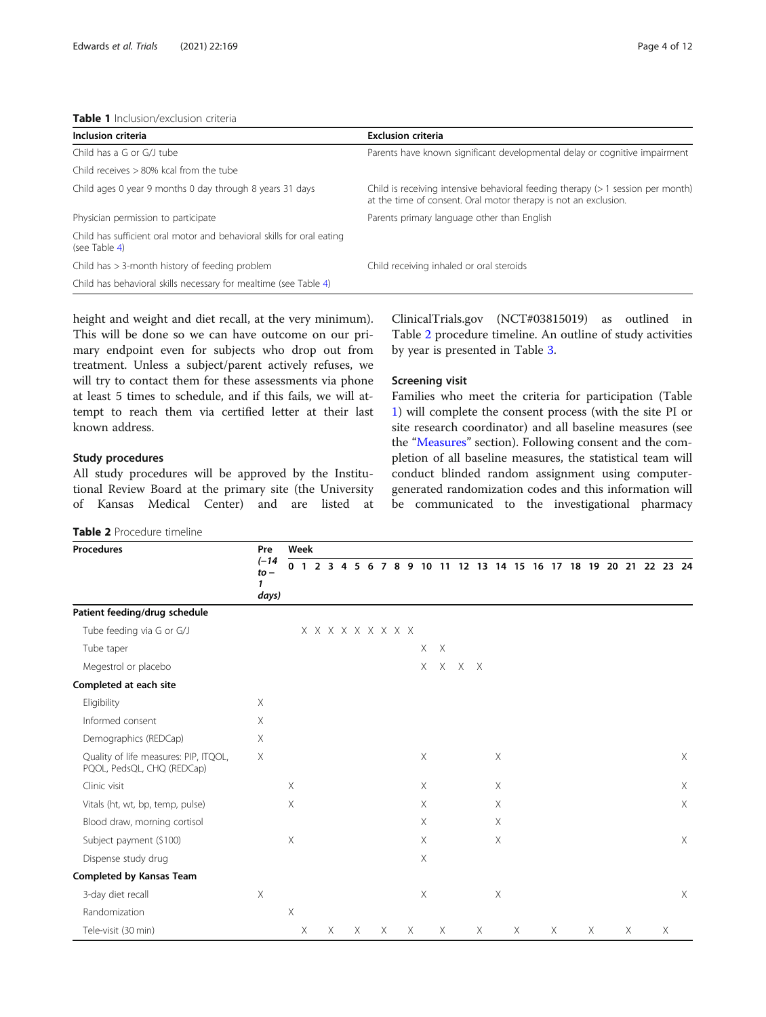<span id="page-3-0"></span>

| Inclusion criteria                                                                     | <b>Exclusion criteria</b>                                                                                                                             |
|----------------------------------------------------------------------------------------|-------------------------------------------------------------------------------------------------------------------------------------------------------|
| Child has a G or G/J tube                                                              | Parents have known significant developmental delay or cognitive impairment                                                                            |
| Child receives $>80\%$ kcal from the tube                                              |                                                                                                                                                       |
| Child ages 0 year 9 months 0 day through 8 years 31 days                               | Child is receiving intensive behavioral feeding therapy $($ > 1 session per month)<br>at the time of consent. Oral motor therapy is not an exclusion. |
| Physician permission to participate                                                    | Parents primary language other than English                                                                                                           |
| Child has sufficient oral motor and behavioral skills for oral eating<br>(see Table 4) |                                                                                                                                                       |
| Child has $>$ 3-month history of feeding problem                                       | Child receiving inhaled or oral steroids                                                                                                              |
| Child has behavioral skills necessary for mealtime (see Table 4)                       |                                                                                                                                                       |

height and weight and diet recall, at the very minimum). This will be done so we can have outcome on our primary endpoint even for subjects who drop out from treatment. Unless a subject/parent actively refuses, we will try to contact them for these assessments via phone at least 5 times to schedule, and if this fails, we will attempt to reach them via certified letter at their last known address.

# Study procedures

All study procedures will be approved by the Institutional Review Board at the primary site (the University of Kansas Medical Center) and are listed at

Table 2 Procedure timeline

ClinicalTrials.gov (NCT#03815019) as outlined in Table 2 procedure timeline. An outline of study activities by year is presented in Table [3.](#page-4-0)

# Screening visit

Families who meet the criteria for participation (Table 1) will complete the consent process (with the site PI or site research coordinator) and all baseline measures (see the "[Measures](#page-6-0)" section). Following consent and the completion of all baseline measures, the statistical team will conduct blinded random assignment using computergenerated randomization codes and this information will be communicated to the investigational pharmacy

| <b>Procedures</b>                                                   | Pre<br>$(-14)$<br>$to -$<br>1<br>days) | Week           |          |                |   |  |          |  |          |                                     |                           |              |                                                    |   |          |          |   |   |          |   |          |
|---------------------------------------------------------------------|----------------------------------------|----------------|----------|----------------|---|--|----------|--|----------|-------------------------------------|---------------------------|--------------|----------------------------------------------------|---|----------|----------|---|---|----------|---|----------|
|                                                                     |                                        | 0 <sub>1</sub> |          | 2 <sub>3</sub> |   |  | 4 5 6    |  |          |                                     |                           |              | 7 8 9 10 11 12 13 14 15 16 17 18 19 20 21 22 23 24 |   |          |          |   |   |          |   |          |
| Patient feeding/drug schedule                                       |                                        |                |          |                |   |  |          |  |          |                                     |                           |              |                                                    |   |          |          |   |   |          |   |          |
| Tube feeding via G or G/J                                           |                                        |                |          |                |   |  |          |  |          | $X$ $X$ $X$ $X$ $X$ $X$ $X$ $X$ $X$ |                           |              |                                                    |   |          |          |   |   |          |   |          |
| Tube taper                                                          |                                        |                |          |                |   |  |          |  |          |                                     | $\times$                  | $\mathsf{X}$ |                                                    |   |          |          |   |   |          |   |          |
| Megestrol or placebo                                                |                                        |                |          |                |   |  |          |  |          |                                     | $X -$                     |              | $X$ $X$ $X$                                        |   |          |          |   |   |          |   |          |
| Completed at each site                                              |                                        |                |          |                |   |  |          |  |          |                                     |                           |              |                                                    |   |          |          |   |   |          |   |          |
| Eligibility                                                         | $\times$                               |                |          |                |   |  |          |  |          |                                     |                           |              |                                                    |   |          |          |   |   |          |   |          |
| Informed consent                                                    | X                                      |                |          |                |   |  |          |  |          |                                     |                           |              |                                                    |   |          |          |   |   |          |   |          |
| Demographics (REDCap)                                               | $\times$                               |                |          |                |   |  |          |  |          |                                     |                           |              |                                                    |   |          |          |   |   |          |   |          |
| Quality of life measures: PIP, ITQOL,<br>PQOL, PedsQL, CHQ (REDCap) | $\times$                               |                |          |                |   |  |          |  |          |                                     | $\mathsf X$               |              |                                                    |   | $\times$ |          |   |   |          |   | $\times$ |
| Clinic visit                                                        |                                        | $\mathsf X$    |          |                |   |  |          |  |          |                                     | $\boldsymbol{\mathsf{X}}$ |              |                                                    |   | $\times$ |          |   |   |          |   | $\times$ |
| Vitals (ht, wt, bp, temp, pulse)                                    |                                        | Χ              |          |                |   |  |          |  |          |                                     | $\boldsymbol{\mathsf{X}}$ |              |                                                    |   | $\times$ |          |   |   |          |   | $\times$ |
| Blood draw, morning cortisol                                        |                                        |                |          |                |   |  |          |  |          |                                     | $\boldsymbol{\mathsf{X}}$ |              |                                                    |   | $\times$ |          |   |   |          |   |          |
| Subject payment (\$100)                                             |                                        | Χ              |          |                |   |  |          |  |          |                                     | $\boldsymbol{\mathsf{X}}$ |              |                                                    |   | $\times$ |          |   |   |          |   | $\times$ |
| Dispense study drug                                                 |                                        |                |          |                |   |  |          |  |          |                                     | $\boldsymbol{\mathsf{X}}$ |              |                                                    |   |          |          |   |   |          |   |          |
| <b>Completed by Kansas Team</b>                                     |                                        |                |          |                |   |  |          |  |          |                                     |                           |              |                                                    |   |          |          |   |   |          |   |          |
| 3-day diet recall                                                   | $\times$                               |                |          |                |   |  |          |  |          |                                     | $\boldsymbol{\times}$     |              |                                                    |   | $\times$ |          |   |   |          |   | $\times$ |
| Randomization                                                       |                                        | $\times$       |          |                |   |  |          |  |          |                                     |                           |              |                                                    |   |          |          |   |   |          |   |          |
| Tele-visit (30 min)                                                 |                                        |                | $\times$ |                | X |  | $\times$ |  | $\times$ | $\times$                            |                           | $\times$     |                                                    | X |          | $\times$ | X | X | $\times$ | Χ |          |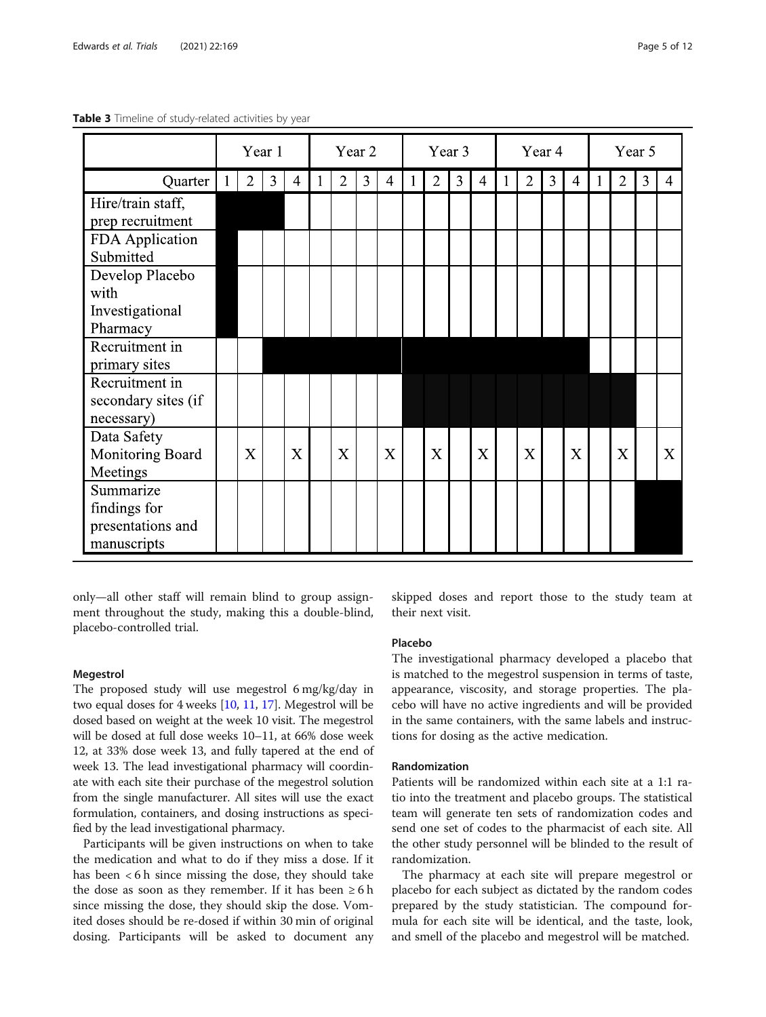|                                                               |             | Year 1         |                |                |   |                | Year 2 |                | Year 3 |                |                |                |   | Year 4         |   |   | Year 5 |                |   |                |
|---------------------------------------------------------------|-------------|----------------|----------------|----------------|---|----------------|--------|----------------|--------|----------------|----------------|----------------|---|----------------|---|---|--------|----------------|---|----------------|
| Quarter                                                       | $\mathbf 1$ | $\overline{2}$ | $\overline{3}$ | $\overline{4}$ | 1 | $\overline{2}$ | 3      | $\overline{4}$ |        | $\overline{2}$ | $\mathfrak{Z}$ | $\overline{4}$ | 1 | $\overline{2}$ | 3 | 4 |        | $\overline{2}$ | 3 | $\overline{4}$ |
| Hire/train staff,<br>prep recruitment                         |             |                |                |                |   |                |        |                |        |                |                |                |   |                |   |   |        |                |   |                |
| FDA Application<br>Submitted                                  |             |                |                |                |   |                |        |                |        |                |                |                |   |                |   |   |        |                |   |                |
| Develop Placebo<br>with                                       |             |                |                |                |   |                |        |                |        |                |                |                |   |                |   |   |        |                |   |                |
| Investigational<br>Pharmacy                                   |             |                |                |                |   |                |        |                |        |                |                |                |   |                |   |   |        |                |   |                |
| Recruitment in<br>primary sites                               |             |                |                |                |   |                |        |                |        |                |                |                |   |                |   |   |        |                |   |                |
| Recruitment in<br>secondary sites (if<br>necessary)           |             |                |                |                |   |                |        |                |        |                |                |                |   |                |   |   |        |                |   |                |
| Data Safety<br>Monitoring Board<br>Meetings                   |             | X              |                | X              |   | X              |        | $\overline{X}$ |        | X              |                | X              |   | X              |   | X |        | X              |   | X              |
| Summarize<br>findings for<br>presentations and<br>manuscripts |             |                |                |                |   |                |        |                |        |                |                |                |   |                |   |   |        |                |   |                |

<span id="page-4-0"></span>Table 3 Timeline of study-related activities by year

only—all other staff will remain blind to group assignment throughout the study, making this a double-blind, placebo-controlled trial.

# Megestrol

The proposed study will use megestrol 6 mg/kg/day in two equal doses for 4 weeks [\[10,](#page-10-0) [11,](#page-10-0) [17](#page-10-0)]. Megestrol will be dosed based on weight at the week 10 visit. The megestrol will be dosed at full dose weeks 10–11, at 66% dose week 12, at 33% dose week 13, and fully tapered at the end of week 13. The lead investigational pharmacy will coordinate with each site their purchase of the megestrol solution from the single manufacturer. All sites will use the exact formulation, containers, and dosing instructions as specified by the lead investigational pharmacy.

Participants will be given instructions on when to take the medication and what to do if they miss a dose. If it has been < 6 h since missing the dose, they should take the dose as soon as they remember. If it has been  $\geq 6$  h since missing the dose, they should skip the dose. Vomited doses should be re-dosed if within 30 min of original dosing. Participants will be asked to document any skipped doses and report those to the study team at their next visit.

# Placebo

The investigational pharmacy developed a placebo that is matched to the megestrol suspension in terms of taste, appearance, viscosity, and storage properties. The placebo will have no active ingredients and will be provided in the same containers, with the same labels and instructions for dosing as the active medication.

# Randomization

Patients will be randomized within each site at a 1:1 ratio into the treatment and placebo groups. The statistical team will generate ten sets of randomization codes and send one set of codes to the pharmacist of each site. All the other study personnel will be blinded to the result of randomization.

The pharmacy at each site will prepare megestrol or placebo for each subject as dictated by the random codes prepared by the study statistician. The compound formula for each site will be identical, and the taste, look, and smell of the placebo and megestrol will be matched.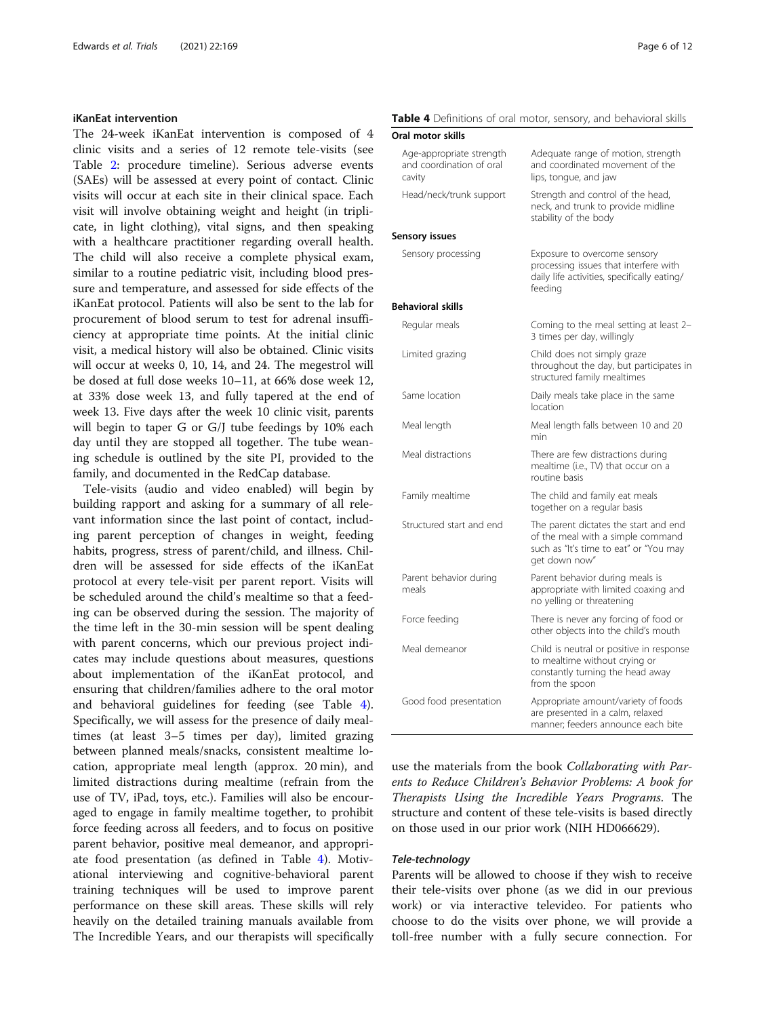#### <span id="page-5-0"></span>iKanEat intervention

The 24-week iKanEat intervention is composed of 4 clinic visits and a series of 12 remote tele-visits (see Table [2:](#page-3-0) procedure timeline). Serious adverse events (SAEs) will be assessed at every point of contact. Clinic visits will occur at each site in their clinical space. Each visit will involve obtaining weight and height (in triplicate, in light clothing), vital signs, and then speaking with a healthcare practitioner regarding overall health. The child will also receive a complete physical exam, similar to a routine pediatric visit, including blood pressure and temperature, and assessed for side effects of the iKanEat protocol. Patients will also be sent to the lab for procurement of blood serum to test for adrenal insufficiency at appropriate time points. At the initial clinic visit, a medical history will also be obtained. Clinic visits will occur at weeks 0, 10, 14, and 24. The megestrol will be dosed at full dose weeks 10–11, at 66% dose week 12, at 33% dose week 13, and fully tapered at the end of week 13. Five days after the week 10 clinic visit, parents will begin to taper G or G/J tube feedings by 10% each day until they are stopped all together. The tube weaning schedule is outlined by the site PI, provided to the family, and documented in the RedCap database.

Tele-visits (audio and video enabled) will begin by building rapport and asking for a summary of all relevant information since the last point of contact, including parent perception of changes in weight, feeding habits, progress, stress of parent/child, and illness. Children will be assessed for side effects of the iKanEat protocol at every tele-visit per parent report. Visits will be scheduled around the child's mealtime so that a feeding can be observed during the session. The majority of the time left in the 30-min session will be spent dealing with parent concerns, which our previous project indicates may include questions about measures, questions about implementation of the iKanEat protocol, and ensuring that children/families adhere to the oral motor and behavioral guidelines for feeding (see Table 4). Specifically, we will assess for the presence of daily mealtimes (at least 3–5 times per day), limited grazing between planned meals/snacks, consistent mealtime location, appropriate meal length (approx. 20 min), and limited distractions during mealtime (refrain from the use of TV, iPad, toys, etc.). Families will also be encouraged to engage in family mealtime together, to prohibit force feeding across all feeders, and to focus on positive parent behavior, positive meal demeanor, and appropriate food presentation (as defined in Table 4). Motivational interviewing and cognitive-behavioral parent training techniques will be used to improve parent performance on these skill areas. These skills will rely heavily on the detailed training manuals available from The Incredible Years, and our therapists will specifically

|  |  |  |  |  | Table 4 Definitions of oral motor, sensory, and behavioral skills |
|--|--|--|--|--|-------------------------------------------------------------------|
|--|--|--|--|--|-------------------------------------------------------------------|

#### Oral motor skills

| Age-appropriate strength<br>and coordination of oral<br>cavity | Adequate range of motion, strength<br>and coordinated movement of the<br>lips, tongue, and jaw                                        |
|----------------------------------------------------------------|---------------------------------------------------------------------------------------------------------------------------------------|
| Head/neck/trunk support                                        | Strength and control of the head,<br>neck, and trunk to provide midline<br>stability of the body                                      |
| Sensory issues                                                 |                                                                                                                                       |
| Sensory processing                                             | Exposure to overcome sensory<br>processing issues that interfere with<br>daily life activities, specifically eating/<br>feeding       |
| <b>Behavioral skills</b>                                       |                                                                                                                                       |
| Regular meals                                                  | Coming to the meal setting at least 2-<br>3 times per day, willingly                                                                  |
| Limited grazing                                                | Child does not simply graze<br>throughout the day, but participates in<br>structured family mealtimes                                 |
| Same location                                                  | Daily meals take place in the same<br>location                                                                                        |
| Meal length                                                    | Meal length falls between 10 and 20<br>min                                                                                            |
| Meal distractions                                              | There are few distractions during<br>mealtime (i.e., TV) that occur on a<br>routine basis                                             |
| Family mealtime                                                | The child and family eat meals<br>together on a regular basis                                                                         |
| Structured start and end                                       | The parent dictates the start and end<br>of the meal with a simple command<br>such as "It's time to eat" or "You may<br>get down now" |
| Parent behavior during<br>meals                                | Parent behavior during meals is<br>appropriate with limited coaxing and<br>no yelling or threatening                                  |
| Force feeding                                                  | There is never any forcing of food or<br>other objects into the child's mouth                                                         |
| Meal demeanor                                                  | Child is neutral or positive in response<br>to mealtime without crying or<br>constantly turning the head away<br>from the spoon       |
| Good food presentation                                         | Appropriate amount/variety of foods<br>are presented in a calm, relaxed<br>manner: feeders announce each bite                         |

use the materials from the book Collaborating with Parents to Reduce Children's Behavior Problems: A book for Therapists Using the Incredible Years Programs. The structure and content of these tele-visits is based directly on those used in our prior work (NIH HD066629).

# Tele-technology

Parents will be allowed to choose if they wish to receive their tele-visits over phone (as we did in our previous work) or via interactive televideo. For patients who choose to do the visits over phone, we will provide a toll-free number with a fully secure connection. For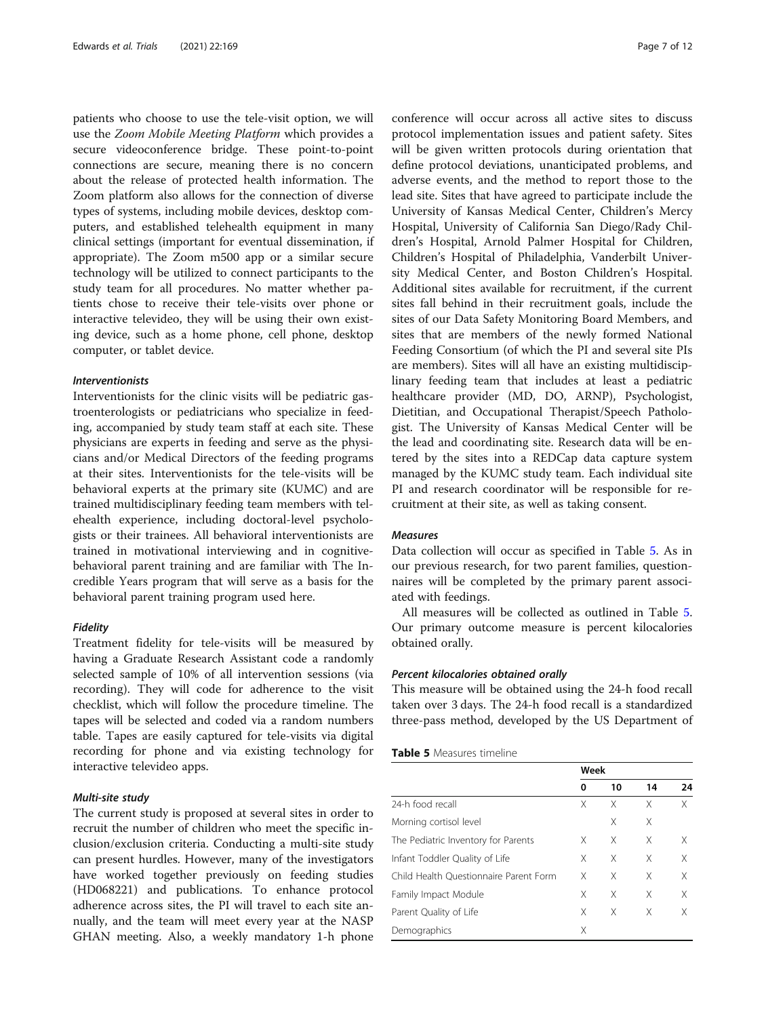<span id="page-6-0"></span>patients who choose to use the tele-visit option, we will use the Zoom Mobile Meeting Platform which provides a secure videoconference bridge. These point-to-point connections are secure, meaning there is no concern about the release of protected health information. The Zoom platform also allows for the connection of diverse types of systems, including mobile devices, desktop computers, and established telehealth equipment in many clinical settings (important for eventual dissemination, if appropriate). The Zoom m500 app or a similar secure technology will be utilized to connect participants to the study team for all procedures. No matter whether patients chose to receive their tele-visits over phone or interactive televideo, they will be using their own existing device, such as a home phone, cell phone, desktop computer, or tablet device.

#### Interventionists

Interventionists for the clinic visits will be pediatric gastroenterologists or pediatricians who specialize in feeding, accompanied by study team staff at each site. These physicians are experts in feeding and serve as the physicians and/or Medical Directors of the feeding programs at their sites. Interventionists for the tele-visits will be behavioral experts at the primary site (KUMC) and are trained multidisciplinary feeding team members with telehealth experience, including doctoral-level psychologists or their trainees. All behavioral interventionists are trained in motivational interviewing and in cognitivebehavioral parent training and are familiar with The Incredible Years program that will serve as a basis for the behavioral parent training program used here.

#### Fidelity

Treatment fidelity for tele-visits will be measured by having a Graduate Research Assistant code a randomly selected sample of 10% of all intervention sessions (via recording). They will code for adherence to the visit checklist, which will follow the procedure timeline. The tapes will be selected and coded via a random numbers table. Tapes are easily captured for tele-visits via digital recording for phone and via existing technology for interactive televideo apps.

#### Multi-site study

The current study is proposed at several sites in order to recruit the number of children who meet the specific inclusion/exclusion criteria. Conducting a multi-site study can present hurdles. However, many of the investigators have worked together previously on feeding studies (HD068221) and publications. To enhance protocol adherence across sites, the PI will travel to each site annually, and the team will meet every year at the NASP GHAN meeting. Also, a weekly mandatory 1-h phone

conference will occur across all active sites to discuss protocol implementation issues and patient safety. Sites will be given written protocols during orientation that define protocol deviations, unanticipated problems, and adverse events, and the method to report those to the lead site. Sites that have agreed to participate include the University of Kansas Medical Center, Children's Mercy Hospital, University of California San Diego/Rady Children's Hospital, Arnold Palmer Hospital for Children, Children's Hospital of Philadelphia, Vanderbilt University Medical Center, and Boston Children's Hospital. Additional sites available for recruitment, if the current sites fall behind in their recruitment goals, include the sites of our Data Safety Monitoring Board Members, and sites that are members of the newly formed National Feeding Consortium (of which the PI and several site PIs are members). Sites will all have an existing multidisciplinary feeding team that includes at least a pediatric healthcare provider (MD, DO, ARNP), Psychologist, Dietitian, and Occupational Therapist/Speech Pathologist. The University of Kansas Medical Center will be the lead and coordinating site. Research data will be entered by the sites into a REDCap data capture system managed by the KUMC study team. Each individual site PI and research coordinator will be responsible for recruitment at their site, as well as taking consent.

### Measures

Data collection will occur as specified in Table 5. As in our previous research, for two parent families, questionnaires will be completed by the primary parent associated with feedings.

All measures will be collected as outlined in Table 5. Our primary outcome measure is percent kilocalories obtained orally.

#### Percent kilocalories obtained orally

This measure will be obtained using the 24-h food recall taken over 3 days. The 24-h food recall is a standardized three-pass method, developed by the US Department of

#### Table 5 Measures timeline

|                                        | Week |    |    |    |
|----------------------------------------|------|----|----|----|
|                                        | 0    | 10 | 14 | 24 |
| 24-h food recall                       | Χ    | Χ  | Χ  | X  |
| Morning cortisol level                 |      | Χ  | Χ  |    |
| The Pediatric Inventory for Parents    | Χ    | Χ  | Χ  | Χ  |
| Infant Toddler Quality of Life         | X    | Χ  | Χ  | X  |
| Child Health Ouestionnaire Parent Form | Χ    | X  | Χ  | Χ  |
| Family Impact Module                   | X    | Χ  | Χ  | X  |
| Parent Quality of Life                 | X    | Χ  | Χ  | Χ  |
| Demographics                           | Χ    |    |    |    |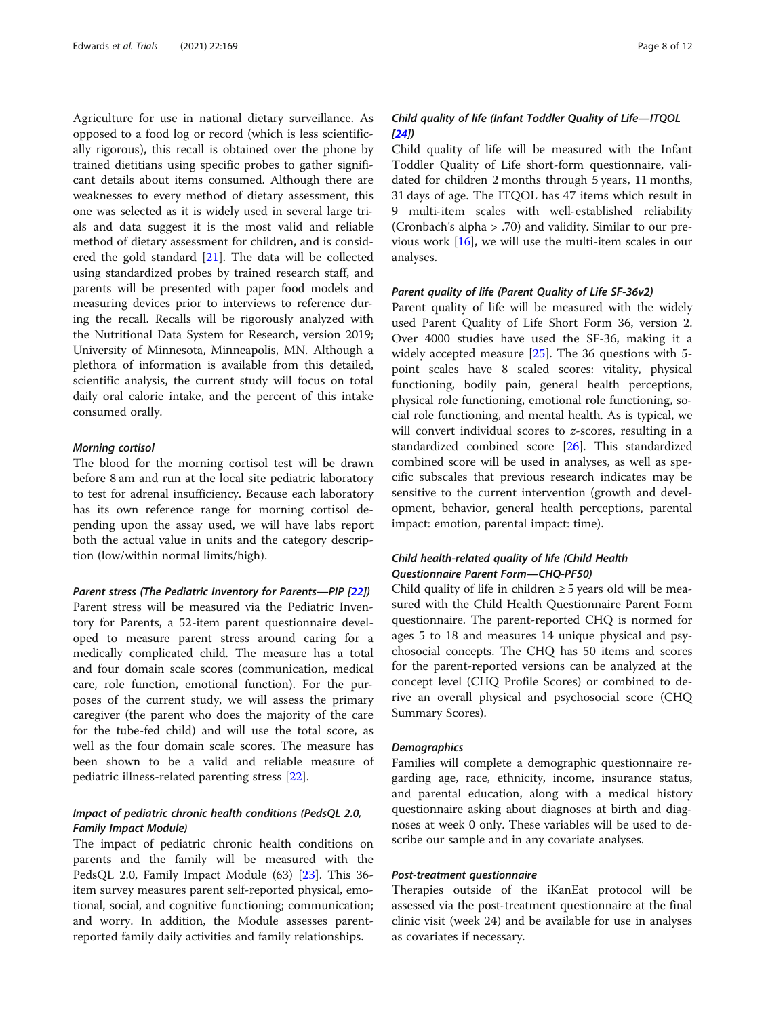Agriculture for use in national dietary surveillance. As opposed to a food log or record (which is less scientifically rigorous), this recall is obtained over the phone by trained dietitians using specific probes to gather significant details about items consumed. Although there are weaknesses to every method of dietary assessment, this one was selected as it is widely used in several large trials and data suggest it is the most valid and reliable method of dietary assessment for children, and is considered the gold standard [\[21](#page-11-0)]. The data will be collected using standardized probes by trained research staff, and parents will be presented with paper food models and measuring devices prior to interviews to reference during the recall. Recalls will be rigorously analyzed with the Nutritional Data System for Research, version 2019; University of Minnesota, Minneapolis, MN. Although a plethora of information is available from this detailed, scientific analysis, the current study will focus on total daily oral calorie intake, and the percent of this intake consumed orally.

# Morning cortisol

The blood for the morning cortisol test will be drawn before 8 am and run at the local site pediatric laboratory to test for adrenal insufficiency. Because each laboratory has its own reference range for morning cortisol depending upon the assay used, we will have labs report both the actual value in units and the category description (low/within normal limits/high).

Parent stress (The Pediatric Inventory for Parents—PIP [\[22\]](#page-11-0)) Parent stress will be measured via the Pediatric Inventory for Parents, a 52-item parent questionnaire developed to measure parent stress around caring for a medically complicated child. The measure has a total and four domain scale scores (communication, medical care, role function, emotional function). For the purposes of the current study, we will assess the primary caregiver (the parent who does the majority of the care for the tube-fed child) and will use the total score, as well as the four domain scale scores. The measure has been shown to be a valid and reliable measure of pediatric illness-related parenting stress [\[22](#page-11-0)].

# Impact of pediatric chronic health conditions (PedsQL 2.0, Family Impact Module)

The impact of pediatric chronic health conditions on parents and the family will be measured with the PedsQL 2.0, Family Impact Module (63) [\[23](#page-11-0)]. This 36 item survey measures parent self-reported physical, emotional, social, and cognitive functioning; communication; and worry. In addition, the Module assesses parentreported family daily activities and family relationships.

# Child quality of life (Infant Toddler Quality of Life—ITQOL  $[24]$

Child quality of life will be measured with the Infant Toddler Quality of Life short-form questionnaire, validated for children 2 months through 5 years, 11 months, 31 days of age. The ITQOL has 47 items which result in 9 multi-item scales with well-established reliability (Cronbach's alpha > .70) and validity. Similar to our previous work [\[16](#page-10-0)], we will use the multi-item scales in our analyses.

#### Parent quality of life (Parent Quality of Life SF-36v2)

Parent quality of life will be measured with the widely used Parent Quality of Life Short Form 36, version 2. Over 4000 studies have used the SF-36, making it a widely accepted measure [\[25](#page-11-0)]. The 36 questions with 5 point scales have 8 scaled scores: vitality, physical functioning, bodily pain, general health perceptions, physical role functioning, emotional role functioning, social role functioning, and mental health. As is typical, we will convert individual scores to z-scores, resulting in a standardized combined score [[26](#page-11-0)]. This standardized combined score will be used in analyses, as well as specific subscales that previous research indicates may be sensitive to the current intervention (growth and development, behavior, general health perceptions, parental impact: emotion, parental impact: time).

# Child health-related quality of life (Child Health Questionnaire Parent Form—CHQ-PF50)

Child quality of life in children  $\geq$  5 years old will be measured with the Child Health Questionnaire Parent Form questionnaire. The parent-reported CHQ is normed for ages 5 to 18 and measures 14 unique physical and psychosocial concepts. The CHQ has 50 items and scores for the parent-reported versions can be analyzed at the concept level (CHQ Profile Scores) or combined to derive an overall physical and psychosocial score (CHQ Summary Scores).

#### **Demographics**

Families will complete a demographic questionnaire regarding age, race, ethnicity, income, insurance status, and parental education, along with a medical history questionnaire asking about diagnoses at birth and diagnoses at week 0 only. These variables will be used to describe our sample and in any covariate analyses.

# Post-treatment questionnaire

Therapies outside of the iKanEat protocol will be assessed via the post-treatment questionnaire at the final clinic visit (week 24) and be available for use in analyses as covariates if necessary.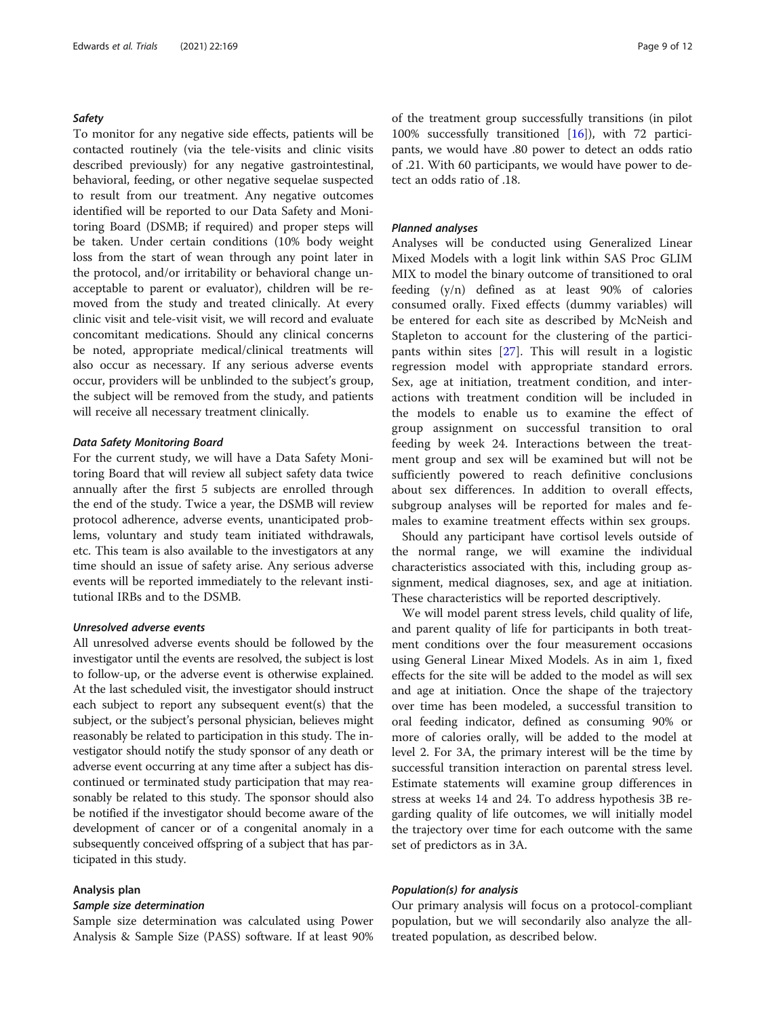#### <span id="page-8-0"></span>**Safety**

To monitor for any negative side effects, patients will be contacted routinely (via the tele-visits and clinic visits described previously) for any negative gastrointestinal, behavioral, feeding, or other negative sequelae suspected to result from our treatment. Any negative outcomes identified will be reported to our Data Safety and Monitoring Board (DSMB; if required) and proper steps will be taken. Under certain conditions (10% body weight loss from the start of wean through any point later in the protocol, and/or irritability or behavioral change unacceptable to parent or evaluator), children will be removed from the study and treated clinically. At every clinic visit and tele-visit visit, we will record and evaluate concomitant medications. Should any clinical concerns be noted, appropriate medical/clinical treatments will also occur as necessary. If any serious adverse events occur, providers will be unblinded to the subject's group, the subject will be removed from the study, and patients will receive all necessary treatment clinically.

#### Data Safety Monitoring Board

For the current study, we will have a Data Safety Monitoring Board that will review all subject safety data twice annually after the first 5 subjects are enrolled through the end of the study. Twice a year, the DSMB will review protocol adherence, adverse events, unanticipated problems, voluntary and study team initiated withdrawals, etc. This team is also available to the investigators at any time should an issue of safety arise. Any serious adverse events will be reported immediately to the relevant institutional IRBs and to the DSMB.

#### Unresolved adverse events

All unresolved adverse events should be followed by the investigator until the events are resolved, the subject is lost to follow-up, or the adverse event is otherwise explained. At the last scheduled visit, the investigator should instruct each subject to report any subsequent event(s) that the subject, or the subject's personal physician, believes might reasonably be related to participation in this study. The investigator should notify the study sponsor of any death or adverse event occurring at any time after a subject has discontinued or terminated study participation that may reasonably be related to this study. The sponsor should also be notified if the investigator should become aware of the development of cancer or of a congenital anomaly in a subsequently conceived offspring of a subject that has participated in this study.

#### Analysis plan

#### Sample size determination

Sample size determination was calculated using Power Analysis & Sample Size (PASS) software. If at least 90% of the treatment group successfully transitions (in pilot 100% successfully transitioned [\[16](#page-10-0)]), with 72 participants, we would have .80 power to detect an odds ratio of .21. With 60 participants, we would have power to detect an odds ratio of .18.

#### Planned analyses

Analyses will be conducted using Generalized Linear Mixed Models with a logit link within SAS Proc GLIM MIX to model the binary outcome of transitioned to oral feeding (y/n) defined as at least 90% of calories consumed orally. Fixed effects (dummy variables) will be entered for each site as described by McNeish and Stapleton to account for the clustering of the participants within sites [\[27](#page-11-0)]. This will result in a logistic regression model with appropriate standard errors. Sex, age at initiation, treatment condition, and interactions with treatment condition will be included in the models to enable us to examine the effect of group assignment on successful transition to oral feeding by week 24. Interactions between the treatment group and sex will be examined but will not be sufficiently powered to reach definitive conclusions about sex differences. In addition to overall effects, subgroup analyses will be reported for males and females to examine treatment effects within sex groups.

Should any participant have cortisol levels outside of the normal range, we will examine the individual characteristics associated with this, including group assignment, medical diagnoses, sex, and age at initiation. These characteristics will be reported descriptively.

We will model parent stress levels, child quality of life, and parent quality of life for participants in both treatment conditions over the four measurement occasions using General Linear Mixed Models. As in aim 1, fixed effects for the site will be added to the model as will sex and age at initiation. Once the shape of the trajectory over time has been modeled, a successful transition to oral feeding indicator, defined as consuming 90% or more of calories orally, will be added to the model at level 2. For 3A, the primary interest will be the time by successful transition interaction on parental stress level. Estimate statements will examine group differences in stress at weeks 14 and 24. To address hypothesis 3B regarding quality of life outcomes, we will initially model the trajectory over time for each outcome with the same set of predictors as in 3A.

#### Population(s) for analysis

Our primary analysis will focus on a protocol-compliant population, but we will secondarily also analyze the alltreated population, as described below.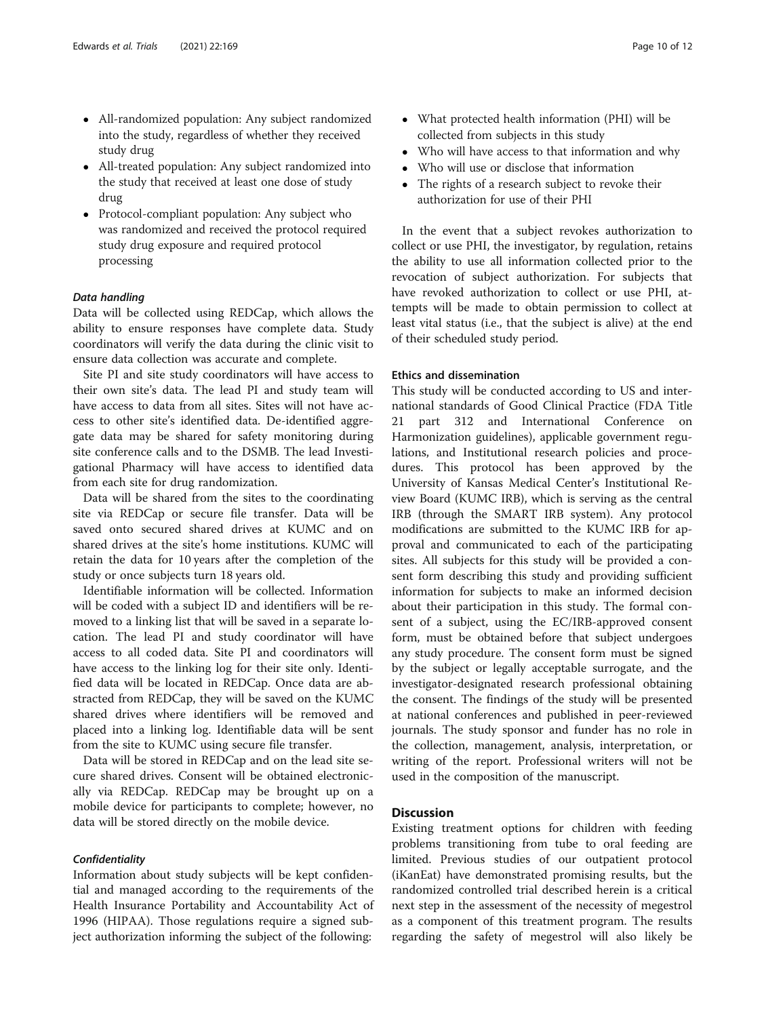- All-randomized population: Any subject randomized into the study, regardless of whether they received study drug
- All-treated population: Any subject randomized into the study that received at least one dose of study drug
- Protocol-compliant population: Any subject who was randomized and received the protocol required study drug exposure and required protocol processing

#### Data handling

Data will be collected using REDCap, which allows the ability to ensure responses have complete data. Study coordinators will verify the data during the clinic visit to ensure data collection was accurate and complete.

Site PI and site study coordinators will have access to their own site's data. The lead PI and study team will have access to data from all sites. Sites will not have access to other site's identified data. De-identified aggregate data may be shared for safety monitoring during site conference calls and to the DSMB. The lead Investigational Pharmacy will have access to identified data from each site for drug randomization.

Data will be shared from the sites to the coordinating site via REDCap or secure file transfer. Data will be saved onto secured shared drives at KUMC and on shared drives at the site's home institutions. KUMC will retain the data for 10 years after the completion of the study or once subjects turn 18 years old.

Identifiable information will be collected. Information will be coded with a subject ID and identifiers will be removed to a linking list that will be saved in a separate location. The lead PI and study coordinator will have access to all coded data. Site PI and coordinators will have access to the linking log for their site only. Identified data will be located in REDCap. Once data are abstracted from REDCap, they will be saved on the KUMC shared drives where identifiers will be removed and placed into a linking log. Identifiable data will be sent from the site to KUMC using secure file transfer.

Data will be stored in REDCap and on the lead site secure shared drives. Consent will be obtained electronically via REDCap. REDCap may be brought up on a mobile device for participants to complete; however, no data will be stored directly on the mobile device.

#### **Confidentiality**

Information about study subjects will be kept confidential and managed according to the requirements of the Health Insurance Portability and Accountability Act of 1996 (HIPAA). Those regulations require a signed subject authorization informing the subject of the following:

- What protected health information (PHI) will be collected from subjects in this study
- Who will have access to that information and why
- Who will use or disclose that information
- The rights of a research subject to revoke their authorization for use of their PHI

In the event that a subject revokes authorization to collect or use PHI, the investigator, by regulation, retains the ability to use all information collected prior to the revocation of subject authorization. For subjects that have revoked authorization to collect or use PHI, attempts will be made to obtain permission to collect at least vital status (i.e., that the subject is alive) at the end of their scheduled study period.

#### Ethics and dissemination

This study will be conducted according to US and international standards of Good Clinical Practice (FDA Title 21 part 312 and International Conference on Harmonization guidelines), applicable government regulations, and Institutional research policies and procedures. This protocol has been approved by the University of Kansas Medical Center's Institutional Review Board (KUMC IRB), which is serving as the central IRB (through the SMART IRB system). Any protocol modifications are submitted to the KUMC IRB for approval and communicated to each of the participating sites. All subjects for this study will be provided a consent form describing this study and providing sufficient information for subjects to make an informed decision about their participation in this study. The formal consent of a subject, using the EC/IRB-approved consent form, must be obtained before that subject undergoes any study procedure. The consent form must be signed by the subject or legally acceptable surrogate, and the investigator-designated research professional obtaining the consent. The findings of the study will be presented at national conferences and published in peer-reviewed journals. The study sponsor and funder has no role in the collection, management, analysis, interpretation, or writing of the report. Professional writers will not be used in the composition of the manuscript.

# **Discussion**

Existing treatment options for children with feeding problems transitioning from tube to oral feeding are limited. Previous studies of our outpatient protocol (iKanEat) have demonstrated promising results, but the randomized controlled trial described herein is a critical next step in the assessment of the necessity of megestrol as a component of this treatment program. The results regarding the safety of megestrol will also likely be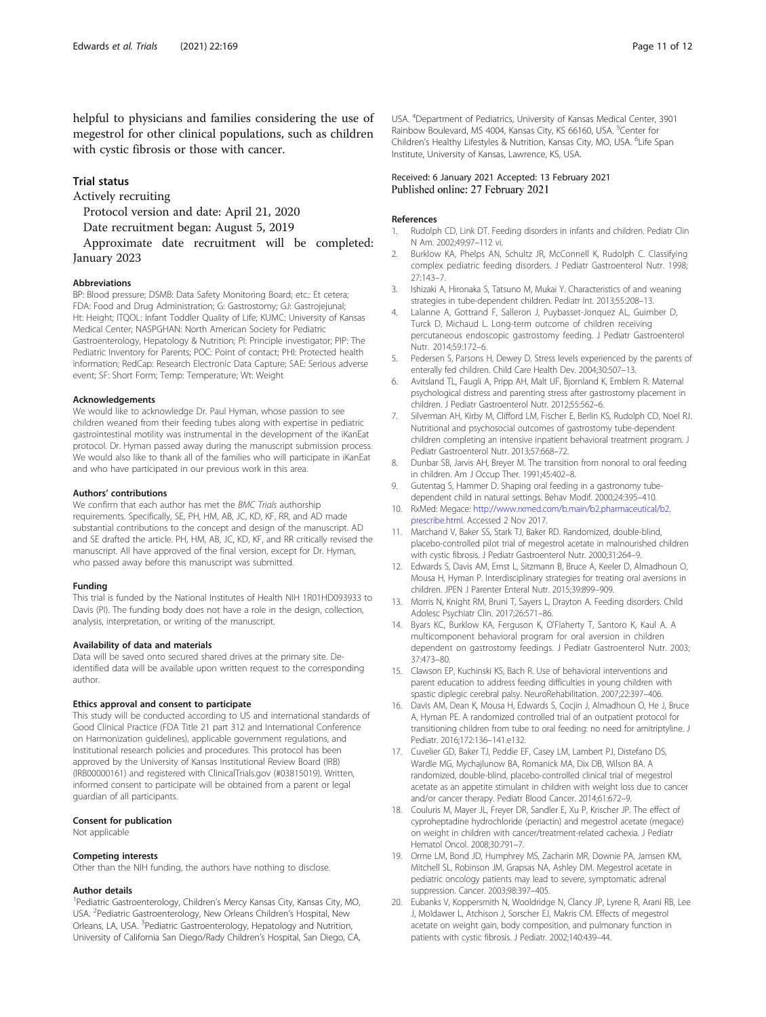<span id="page-10-0"></span>helpful to physicians and families considering the use of megestrol for other clinical populations, such as children with cystic fibrosis or those with cancer.

# Trial status

Actively recruiting

Protocol version and date: April 21, 2020

Date recruitment began: August 5, 2019

Approximate date recruitment will be completed: January 2023

#### Abbreviations

BP: Blood pressure; DSMB: Data Safety Monitoring Board; etc.: Et cetera; FDA: Food and Drug Administration; G: Gastrostomy; GJ: Gastrojejunal; Ht: Height; ITQOL: Infant Toddler Quality of Life; KUMC: University of Kansas Medical Center; NASPGHAN: North American Society for Pediatric Gastroenterology, Hepatology & Nutrition; PI: Principle investigator; PIP: The Pediatric Inventory for Parents; POC: Point of contact; PHI: Protected health information; RedCap: Research Electronic Data Capture; SAE: Serious adverse event; SF: Short Form; Temp: Temperature; Wt: Weight

#### Acknowledgements

We would like to acknowledge Dr. Paul Hyman, whose passion to see children weaned from their feeding tubes along with expertise in pediatric gastrointestinal motility was instrumental in the development of the iKanEat protocol. Dr. Hyman passed away during the manuscript submission process. We would also like to thank all of the families who will participate in iKanEat and who have participated in our previous work in this area.

#### Authors' contributions

We confirm that each author has met the BMC Trials authorship requirements. Specifically, SE, PH, HM, AB, JC, KD, KF, RR, and AD made substantial contributions to the concept and design of the manuscript. AD and SE drafted the article. PH, HM, AB, JC, KD, KF, and RR critically revised the manuscript. All have approved of the final version, except for Dr. Hyman, who passed away before this manuscript was submitted.

#### Funding

This trial is funded by the National Institutes of Health NIH 1R01HD093933 to Davis (PI). The funding body does not have a role in the design, collection, analysis, interpretation, or writing of the manuscript.

#### Availability of data and materials

Data will be saved onto secured shared drives at the primary site. Deidentified data will be available upon written request to the corresponding author.

#### Ethics approval and consent to participate

This study will be conducted according to US and international standards of Good Clinical Practice (FDA Title 21 part 312 and International Conference on Harmonization guidelines), applicable government regulations, and Institutional research policies and procedures. This protocol has been approved by the University of Kansas Institutional Review Board (IRB) (IRB00000161) and registered with ClinicalTrials.gov (#03815019). Written, informed consent to participate will be obtained from a parent or legal guardian of all participants.

#### Consent for publication

Not applicable

#### Competing interests

Other than the NIH funding, the authors have nothing to disclose.

#### Author details

<sup>1</sup> Pediatric Gastroenterology, Children's Mercy Kansas City, Kansas City, MO, USA. <sup>2</sup>Pediatric Gastroenterology, New Orleans Children's Hospital, New Orleans, LA, USA. <sup>3</sup>Pediatric Gastroenterology, Hepatology and Nutrition, University of California San Diego/Rady Children's Hospital, San Diego, CA,

USA. <sup>4</sup> Department of Pediatrics, University of Kansas Medical Center, 3901 Rainbow Boulevard, MS 4004, Kansas City, KS 66160, USA. <sup>5</sup>Center for Children's Healthy Lifestyles & Nutrition, Kansas City, MO, USA. <sup>6</sup>Life Span Institute, University of Kansas, Lawrence, KS, USA.

# Received: 6 January 2021 Accepted: 13 February 2021 Published online: 27 February 2021

#### References

- 1. Rudolph CD, Link DT. Feeding disorders in infants and children. Pediatr Clin N Am. 2002;49:97–112 vi.
- 2. Burklow KA, Phelps AN, Schultz JR, McConnell K, Rudolph C. Classifying complex pediatric feeding disorders. J Pediatr Gastroenterol Nutr. 1998; 27:143–7.
- 3. Ishizaki A, Hironaka S, Tatsuno M, Mukai Y. Characteristics of and weaning strategies in tube-dependent children. Pediatr Int. 2013;55:208–13.
- 4. Lalanne A, Gottrand F, Salleron J, Puybasset-Jonquez AL, Guimber D, Turck D, Michaud L. Long-term outcome of children receiving percutaneous endoscopic gastrostomy feeding. J Pediatr Gastroenterol Nutr. 2014;59:172–6.
- Pedersen S, Parsons H, Dewey D. Stress levels experienced by the parents of enterally fed children. Child Care Health Dev. 2004;30:507–13.
- 6. Avitsland TL, Faugli A, Pripp AH, Malt UF, Bjornland K, Emblem R. Maternal psychological distress and parenting stress after gastrostomy placement in children. J Pediatr Gastroenterol Nutr. 2012;55:562–6.
- 7. Silverman AH, Kirby M, Clifford LM, Fischer E, Berlin KS, Rudolph CD, Noel RJ. Nutritional and psychosocial outcomes of gastrostomy tube-dependent children completing an intensive inpatient behavioral treatment program. J Pediatr Gastroenterol Nutr. 2013;57:668–72.
- 8. Dunbar SB, Jarvis AH, Breyer M. The transition from nonoral to oral feeding in children. Am J Occup Ther. 1991;45:402–8.
- 9. Gutentag S, Hammer D. Shaping oral feeding in a gastronomy tubedependent child in natural settings. Behav Modif. 2000;24:395–410.
- 10. RxMed: Megace: [http://www.rxmed.com/b.main/b2.pharmaceutical/b2.](http://www.rxmed.com/b.main/b2.pharmaceutical/b2.prescribe.html) [prescribe.html.](http://www.rxmed.com/b.main/b2.pharmaceutical/b2.prescribe.html) Accessed 2 Nov 2017.
- 11. Marchand V, Baker SS, Stark TJ, Baker RD. Randomized, double-blind, placebo-controlled pilot trial of megestrol acetate in malnourished children with cystic fibrosis. J Pediatr Gastroenterol Nutr. 2000;31:264–9.
- 12. Edwards S, Davis AM, Ernst L, Sitzmann B, Bruce A, Keeler D, Almadhoun O, Mousa H, Hyman P. Interdisciplinary strategies for treating oral aversions in children. JPEN J Parenter Enteral Nutr. 2015;39:899–909.
- 13. Morris N, Knight RM, Bruni T, Sayers L, Drayton A. Feeding disorders. Child Adolesc Psychiatr Clin. 2017;26:571–86.
- 14. Byars KC, Burklow KA, Ferguson K, O'Flaherty T, Santoro K, Kaul A. A multicomponent behavioral program for oral aversion in children dependent on gastrostomy feedings. J Pediatr Gastroenterol Nutr. 2003; 37:473–80.
- 15. Clawson EP, Kuchinski KS, Bach R. Use of behavioral interventions and parent education to address feeding difficulties in young children with spastic diplegic cerebral palsy. NeuroRehabilitation. 2007;22:397–406.
- 16. Davis AM, Dean K, Mousa H, Edwards S, Cocjin J, Almadhoun O, He J, Bruce A, Hyman PE. A randomized controlled trial of an outpatient protocol for transitioning children from tube to oral feeding: no need for amitriptyline. J Pediatr. 2016;172:136–141.e132.
- 17. Cuvelier GD, Baker TJ, Peddie EF, Casey LM, Lambert PJ, Distefano DS, Wardle MG, Mychajlunow BA, Romanick MA, Dix DB, Wilson BA. A randomized, double-blind, placebo-controlled clinical trial of megestrol acetate as an appetite stimulant in children with weight loss due to cancer and/or cancer therapy. Pediatr Blood Cancer. 2014;61:672–9.
- 18. Couluris M, Mayer JL, Freyer DR, Sandler E, Xu P, Krischer JP. The effect of cyproheptadine hydrochloride (periactin) and megestrol acetate (megace) on weight in children with cancer/treatment-related cachexia. J Pediatr Hematol Oncol. 2008;30:791–7.
- 19. Orme LM, Bond JD, Humphrey MS, Zacharin MR, Downie PA, Jamsen KM, Mitchell SL, Robinson JM, Grapsas NA, Ashley DM. Megestrol acetate in pediatric oncology patients may lead to severe, symptomatic adrenal suppression. Cancer. 2003;98:397–405.
- 20. Eubanks V, Koppersmith N, Wooldridge N, Clancy JP, Lyrene R, Arani RB, Lee J, Moldawer L, Atchison J, Sorscher EJ, Makris CM. Effects of megestrol acetate on weight gain, body composition, and pulmonary function in patients with cystic fibrosis. J Pediatr. 2002;140:439–44.